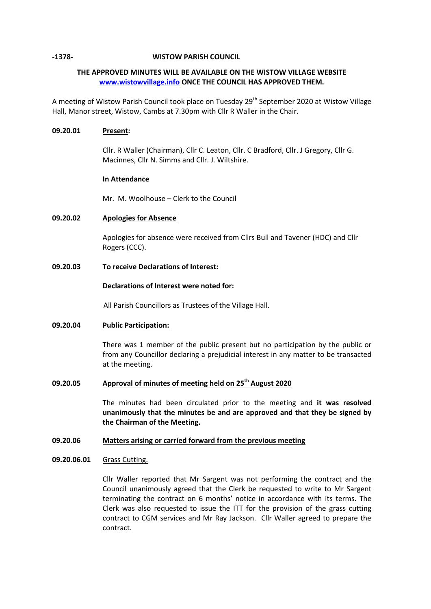## **-1378- WISTOW PARISH COUNCIL**

# **THE APPROVED MINUTES WILL BE AVAILABLE ON THE WISTOW VILLAGE WEBSITE [www.wistowvillage.info](http://www.wistowvillage.info/) ONCE THE COUNCIL HAS APPROVED THEM.**

A meeting of Wistow Parish Council took place on Tuesday 29<sup>th</sup> September 2020 at Wistow Village Hall, Manor street, Wistow, Cambs at 7.30pm with Cllr R Waller in the Chair.

## **09.20.01 Present:**

Cllr. R Waller (Chairman), Cllr C. Leaton, Cllr. C Bradford, Cllr. J Gregory, Cllr G. Macinnes, Cllr N. Simms and Cllr. J. Wiltshire.

## **In Attendance**

Mr. M. Woolhouse – Clerk to the Council

# **09.20.02 Apologies for Absence**

Apologies for absence were received from Cllrs Bull and Tavener (HDC) and Cllr Rogers (CCC).

## **09.20.03 To receive Declarations of Interest:**

## **Declarations of Interest were noted for:**

All Parish Councillors as Trustees of the Village Hall.

# **09.20.04 Public Participation:**

There was 1 member of the public present but no participation by the public or from any Councillor declaring a prejudicial interest in any matter to be transacted at the meeting.

# **09.20.05 Approval of minutes of meeting held on 25 th August 2020**

The minutes had been circulated prior to the meeting and **it was resolved unanimously that the minutes be and are approved and that they be signed by the Chairman of the Meeting.**

### **09.20.06 Matters arising or carried forward from the previous meeting**

### **09.20.06.01** Grass Cutting.

Cllr Waller reported that Mr Sargent was not performing the contract and the Council unanimously agreed that the Clerk be requested to write to Mr Sargent terminating the contract on 6 months' notice in accordance with its terms. The Clerk was also requested to issue the ITT for the provision of the grass cutting contract to CGM services and Mr Ray Jackson. Cllr Waller agreed to prepare the contract.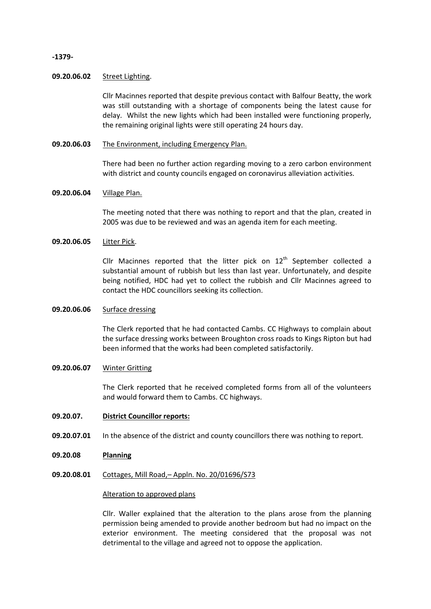## **-1379-**

#### **09.20.06.02** Street Lighting.

Cllr Macinnes reported that despite previous contact with Balfour Beatty, the work was still outstanding with a shortage of components being the latest cause for delay. Whilst the new lights which had been installed were functioning properly, the remaining original lights were still operating 24 hours day.

**09.20.06.03** The Environment, including Emergency Plan.

> There had been no further action regarding moving to a zero carbon environment with district and county councils engaged on coronavirus alleviation activities.

### **09.20.06.04** Village Plan.

The meeting noted that there was nothing to report and that the plan, created in 2005 was due to be reviewed and was an agenda item for each meeting.

### **09.20.06.05** Litter Pick.

Cllr Macinnes reported that the litter pick on  $12<sup>th</sup>$  September collected a substantial amount of rubbish but less than last year. Unfortunately, and despite being notified, HDC had yet to collect the rubbish and Cllr Macinnes agreed to contact the HDC councillors seeking its collection.

#### **09.20.06.06** Surface dressing

The Clerk reported that he had contacted Cambs. CC Highways to complain about the surface dressing works between Broughton cross roads to Kings Ripton but had been informed that the works had been completed satisfactorily.

### **09.20.06.07** Winter Gritting

The Clerk reported that he received completed forms from all of the volunteers and would forward them to Cambs. CC highways.

### **09.20.07. District Councillor reports:**

- **09.20.07.01** In the absence of the district and county councillors there was nothing to report.
- **09.20.08 Planning**
- **09.20.08.01** Cottages, Mill Road,– Appln. No. 20/01696/S73

### Alteration to approved plans

Cllr. Waller explained that the alteration to the plans arose from the planning permission being amended to provide another bedroom but had no impact on the exterior environment. The meeting considered that the proposal was not detrimental to the village and agreed not to oppose the application.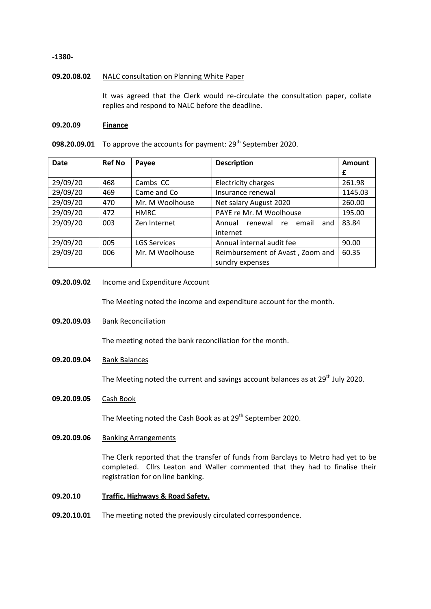### **-1380-**

## **09.20.08.02** NALC consultation on Planning White Paper

It was agreed that the Clerk would re-circulate the consultation paper, collate replies and respond to NALC before the deadline.

### **09.20.09 Finance**

# 098.20.09.01 To approve the accounts for payment: 29<sup>th</sup> September 2020.

| <b>Date</b> | <b>Ref No</b> | Payee               | <b>Description</b>                      | Amount  |
|-------------|---------------|---------------------|-----------------------------------------|---------|
|             |               |                     |                                         | £       |
| 29/09/20    | 468           | Cambs CC            | Electricity charges                     | 261.98  |
| 29/09/20    | 469           | Came and Co         | Insurance renewal                       | 1145.03 |
| 29/09/20    | 470           | Mr. M Woolhouse     | Net salary August 2020                  | 260.00  |
| 29/09/20    | 472           | <b>HMRC</b>         | PAYE re Mr. M Woolhouse                 | 195.00  |
| 29/09/20    | 003           | Zen Internet        | email<br>Annual<br>renewal<br>and<br>re | 83.84   |
|             |               |                     | internet                                |         |
| 29/09/20    | 005           | <b>LGS Services</b> | Annual internal audit fee               | 90.00   |
| 29/09/20    | 006           | Mr. M Woolhouse     | Reimbursement of Avast, Zoom and        | 60.35   |
|             |               |                     | sundry expenses                         |         |

## **09.20.09.02** Income and Expenditure Account

The Meeting noted the income and expenditure account for the month.

**09.20.09.03** Bank Reconciliation

The meeting noted the bank reconciliation for the month.

**09.20.09.04** Bank Balances

The Meeting noted the current and savings account balances as at 29<sup>th</sup> July 2020.

**09.20.09.05** Cash Book

The Meeting noted the Cash Book as at 29<sup>th</sup> September 2020.

**09.20.09.06** Banking Arrangements

The Clerk reported that the transfer of funds from Barclays to Metro had yet to be completed. Cllrs Leaton and Waller commented that they had to finalise their registration for on line banking.

- **09.20.10 Traffic, Highways & Road Safety.**
- **09.20.10.01** The meeting noted the previously circulated correspondence.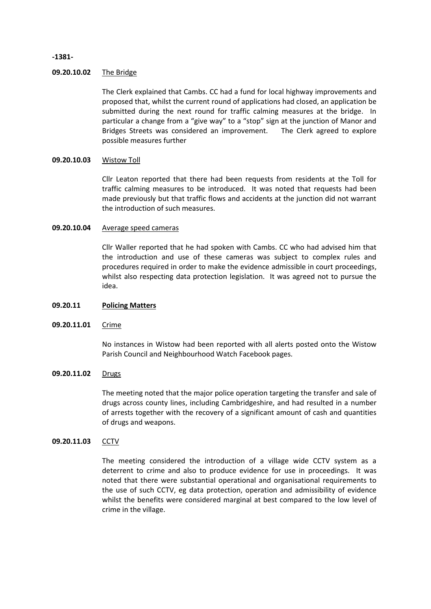### **-1381-**

### **09.20.10.02** The Bridge

The Clerk explained that Cambs. CC had a fund for local highway improvements and proposed that, whilst the current round of applications had closed, an application be submitted during the next round for traffic calming measures at the bridge. In particular a change from a "give way" to a "stop" sign at the junction of Manor and Bridges Streets was considered an improvement. The Clerk agreed to explore possible measures further

#### **09.20.10.03** Wistow Toll

Cllr Leaton reported that there had been requests from residents at the Toll for traffic calming measures to be introduced. It was noted that requests had been made previously but that traffic flows and accidents at the junction did not warrant the introduction of such measures.

### **09.20.10.04** Average speed cameras

Cllr Waller reported that he had spoken with Cambs. CC who had advised him that the introduction and use of these cameras was subject to complex rules and procedures required in order to make the evidence admissible in court proceedings, whilst also respecting data protection legislation. It was agreed not to pursue the idea.

### **09.20.11 Policing Matters**

### **09.20.11.01** Crime

No instances in Wistow had been reported with all alerts posted onto the Wistow Parish Council and Neighbourhood Watch Facebook pages.

### **09.20.11.02** Drugs

The meeting noted that the major police operation targeting the transfer and sale of drugs across county lines, including Cambridgeshire, and had resulted in a number of arrests together with the recovery of a significant amount of cash and quantities of drugs and weapons.

### **09.20.11.03 CCTV**

The meeting considered the introduction of a village wide CCTV system as a deterrent to crime and also to produce evidence for use in proceedings. It was noted that there were substantial operational and organisational requirements to the use of such CCTV, eg data protection, operation and admissibility of evidence whilst the benefits were considered marginal at best compared to the low level of crime in the village.